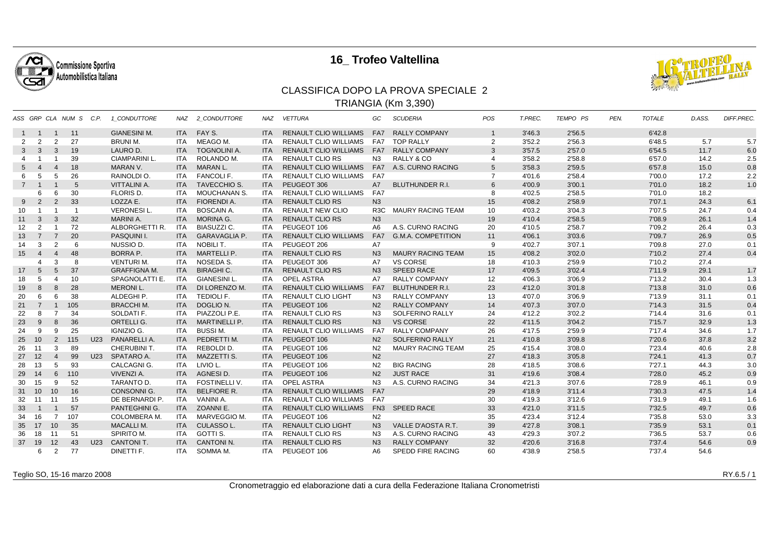

## **16\_ Trofeo Valtellina**



## CLASSIFICA DOPO LA PROVA SPECIALE 2TRIANGIA (Km 3,390)

|              |                |                | ASS GRP CLA NUM S C.P. |     | 1 CONDUTTORE         | NAZ        | 2 CONDUTTORE         | <b>NAZ</b> | <b>VETTURA</b>               | GC             | <b>SCUDERIA</b>           | <b>POS</b>     | T.PREC. | <b>TEMPO PS</b> | PEN. | <b>TOTALE</b> | D.ASS. | DIFF.PREC. |
|--------------|----------------|----------------|------------------------|-----|----------------------|------------|----------------------|------------|------------------------------|----------------|---------------------------|----------------|---------|-----------------|------|---------------|--------|------------|
| 1            | $\overline{1}$ | $\overline{1}$ | 11                     |     | <b>GIANESINI M.</b>  |            | ITA FAY S.           | <b>ITA</b> | <b>RENAULT CLIO WILLIAMS</b> | FA7            | <b>RALLY COMPANY</b>      | $\mathbf{1}$   | 3'46.3  | 2'56.5          |      | 6'42.8        |        |            |
| 2            | 2              | 2              | 27                     |     | <b>BRUNI M.</b>      | ITA        | MEAGO M.             | <b>ITA</b> | RENAULT CLIO WILLIAMS        | FA7            | <b>TOP RALLY</b>          | 2              | 3'52.2  | 2'56.3          |      | 6'48.5        | 5.7    | 5.7        |
| $\mathbf{3}$ | $\mathbf{3}$   | $\mathbf{3}$   | 19                     |     | LAURO D.             | <b>ITA</b> | <b>TOGNOLINI A.</b>  | <b>ITA</b> | <b>RENAULT CLIO WILLIAMS</b> | FA7            | <b>RALLY COMPANY</b>      | 3              | 3'57.5  | 2'57.0          |      | 6'54.5        | 11.7   | 6.0        |
| $\Delta$     |                |                | 39                     |     | <b>CIAMPARINI L.</b> | <b>ITA</b> | ROLANDO M.           | <b>ITA</b> | <b>RENAULT CLIO RS</b>       | N <sub>3</sub> | RALLY & CO                | 4              | 3'58.2  | 2'58.8          |      | 6'57.0        | 14.2   | 2.5        |
| 5            | $\overline{4}$ | $\overline{4}$ | 18                     |     | MARAN V.             | <b>ITA</b> | MARAN L.             | <b>ITA</b> | <b>RENAULT CLIO WILLIAMS</b> |                | FA7 A.S. CURNO RACING     | 5              | 3'58.3  | 2'59.5          |      | 6'57.8        | 15.0   | 0.8        |
| 6            | 5              | 5              | 26                     |     | RAINOLDI O.          | ITA        | FANCOLI F.           | <b>ITA</b> | <b>RENAULT CLIO WILLIAMS</b> | FA7            |                           | $\overline{7}$ | 4'01.6  | 2'58.4          |      | 7'00.0        | 17.2   | 2.2        |
| $7^{\circ}$  |                |                | 5                      |     | <b>VITTALINI A.</b>  | <b>ITA</b> | <b>TAVECCHIO S.</b>  | <b>ITA</b> | PEUGEOT 306                  | A7             | <b>BLUTHUNDER R.I.</b>    | 6              | 4'00.9  | 3'00.1          |      | 7'01.0        | 18.2   | 1.0        |
|              | 6              | 6              | 30                     |     | FLORIS D.            | ITA        | <b>MOUCHANAN S.</b>  | <b>ITA</b> | <b>RENAULT CLIO WILLIAMS</b> | FA7            |                           | 8              | 4'02.5  | 2'58.5          |      | 7'01.0        | 18.2   |            |
| 9            | $\overline{2}$ | $\overline{2}$ | 33                     |     | LOZZA E.             | <b>ITA</b> | <b>FIORENDI A.</b>   | <b>ITA</b> | <b>RENAULT CLIO RS</b>       | N3             |                           | 15             | 4'08.2  | 2'58.9          |      | 7'07.1        | 24.3   | 6.1        |
| 10           |                | $\overline{1}$ | $\overline{1}$         |     | <b>VERONESIL.</b>    | ITA        | <b>BOSCAIN A.</b>    | <b>ITA</b> | <b>RENAULT NEW CLIO</b>      | R3C            | <b>MAURY RACING TEAM</b>  | 10             | 4'03.2  | 3'04.3          |      | 7'07.5        | 24.7   | 0.4        |
| 11           | 3              | $\mathbf{3}$   | 32                     |     | MARINI A.            | <b>ITA</b> | MORINA G.            | <b>ITA</b> | <b>RENAULT CLIO RS</b>       | N3             |                           | 19             | 4'10.4  | 2'58.5          |      | 7'08.9        | 26.1   | 1.4        |
| 12           | $\overline{2}$ |                | 72                     |     | ALBORGHETTI R.       | ITA        | BIASUZZI C.          | ITA.       | PEUGEOT 106                  | A6             | A.S. CURNO RACING         | 20             | 4'10.5  | 2'58.7          |      | 7'09.2        | 26.4   | 0.3        |
| 13           | $\overline{7}$ | $\overline{7}$ | 20                     |     | PASQUINI I.          | <b>ITA</b> | <b>GARAVAGLIA P.</b> | <b>ITA</b> | <b>RENAULT CLIO WILLIAMS</b> | FA7            | <b>G.M.A. COMPETITION</b> | 11             | 4'06.1  | 3'03.6          |      | 7'09.7        | 26.9   | 0.5        |
| 14           | 3              | 2              | 6                      |     | NUSSIO D.            | <b>ITA</b> | NOBILI T.            | <b>ITA</b> | PEUGEOT 206                  | A7             |                           | 9              | 4'02.7  | 3'07.1          |      | 7'09.8        | 27.0   | 0.1        |
| 15           | $\overline{4}$ | $\overline{4}$ | 48                     |     | <b>BORRA P.</b>      | <b>ITA</b> | <b>MARTELLI P.</b>   | <b>ITA</b> | <b>RENAULT CLIO RS</b>       | N <sub>3</sub> | <b>MAURY RACING TEAM</b>  | 15             | 4'08.2  | 3'02.0          |      | 7'10.2        | 27.4   | 0.4        |
|              | 4              | 3              | 8                      |     | <b>VENTURIM.</b>     | <b>ITA</b> | NOSEDA S.            | <b>ITA</b> | PEUGEOT 306                  | A7             | <b>VS CORSE</b>           | 18             | 4'10.3  | 2'59.9          |      | 7'10.2        | 27.4   |            |
| 17           | 5              | 5              | 37                     |     | <b>GRAFFIGNA M.</b>  | <b>ITA</b> | <b>BIRAGHI C.</b>    | <b>ITA</b> | <b>RENAULT CLIO RS</b>       | N <sub>3</sub> | <b>SPEED RACE</b>         | 17             | 4'09.5  | 3'02.4          |      | 7'11.9        | 29.1   | 1.7        |
| 18           | 5              | $\overline{4}$ | 10                     |     | SPAGNOLATTI E.       | <b>ITA</b> | <b>GIANESINI L.</b>  | <b>ITA</b> | <b>OPEL ASTRA</b>            | A7             | <b>RALLY COMPANY</b>      | 12             | 4'06.3  | 3'06.9          |      | 7'13.2        | 30.4   | 1.3        |
| 19           | 8              | 8              | 28                     |     | <b>MERONI L.</b>     | <b>ITA</b> | DI LORENZO M.        | <b>ITA</b> | <b>RENAULT CLIO WILLIAMS</b> | FA7            | <b>BLUTHUNDER R.I.</b>    | 23             | 4'12.0  | 3'01.8          |      | 7'13.8        | 31.0   | 0.6        |
| 20           | 6              | 6              | 38                     |     | ALDEGHI P.           | ITA        | <b>TEDIOLI F.</b>    | ITA.       | <b>RENAULT CLIO LIGHT</b>    | N <sub>3</sub> | <b>RALLY COMPANY</b>      | 13             | 4'07.0  | 3'06.9          |      | 7'13.9        | 31.1   | 0.1        |
| 21           | $\overline{7}$ | $\overline{1}$ | 105                    |     | <b>BRACCHI M.</b>    | <b>ITA</b> | DOGLIO N.            | <b>ITA</b> | PEUGEOT 106                  | N <sub>2</sub> | <b>RALLY COMPANY</b>      | 14             | 4'07.3  | 3'07.0          |      | 7'14.3        | 31.5   | 0.4        |
| 22           | 8              | $\overline{7}$ | 34                     |     | SOLDATI F.           | <b>ITA</b> | PIAZZOLI P.E.        | <b>ITA</b> | <b>RENAULT CLIO RS</b>       | N <sub>3</sub> | <b>SOLFERINO RALLY</b>    | 24             | 4'12.2  | 3'02.2          |      | 7'14.4        | 31.6   | 0.1        |
| 23           | 9              | 8              | 36                     |     | ORTELLI G.           | <b>ITA</b> | <b>MARTINELLI P.</b> | <b>ITA</b> | <b>RENAULT CLIO RS</b>       | N3             | <b>VS CORSE</b>           | 22             | 4'11.5  | 3'04.2          |      | 7'15.7        | 32.9   | 1.3        |
| 24           | 9              | 9              | 25                     |     | IGNIZIO G.           | ITA        | <b>BUSSIM.</b>       | <b>ITA</b> | <b>RENAULT CLIO WILLIAMS</b> | FA7            | <b>RALLY COMPANY</b>      | 26             | 4'17.5  | 2'59.9          |      | 7'17.4        | 34.6   | 1.7        |
| 25           | 10             | $\overline{2}$ | 115                    | U23 | PANARELLI A.         | <b>ITA</b> | PEDRETTI M.          | <b>ITA</b> | PEUGEOT 106                  | N <sub>2</sub> | SOLFERINO RALLY           | 21             | 4'10.8  | 3'09.8          |      | 7'20.6        | 37.8   | 3.2        |
| 26           | 11             | 3              | 89                     |     | CHERUBINI T.         | ITA        | REBOLDI D.           | <b>ITA</b> | PEUGEOT 106                  | N <sub>2</sub> | <b>MAURY RACING TEAM</b>  | 25             | 4'15.4  | 3'08.0          |      | 7'23.4        | 40.6   | 2.8        |
|              | 27 12          | $\overline{4}$ | 99                     | U23 | SPATARO A.           | <b>ITA</b> | <b>MAZZETTI S.</b>   | <b>ITA</b> | PEUGEOT 106                  | N <sub>2</sub> |                           | 27             | 4'18.3  | 3'05.8          |      | 7'24.1        | 41.3   | 0.7        |
| 28           | 13             | 5              | 93                     |     | CALCAGNI G.          | ITA        | LIVIO L.             | <b>ITA</b> | PEUGEOT 106                  | N2             | <b>BIG RACING</b>         | 28             | 4'18.5  | 3'08.6          |      | 7'27.1        | 44.3   | 3.0        |
| 29           | 14             | 6              | 110                    |     | VIVENZI A.           | <b>ITA</b> | AGNESI D.            | <b>ITA</b> | PEUGEOT 106                  | N <sub>2</sub> | <b>JUST RACE</b>          | 31             | 4'19.6  | 3'08.4          |      | 7'28.0        | 45.2   | 0.9        |
| 30           | 15             | -9             | 52                     |     | TARANTO D.           | <b>ITA</b> | <b>FOSTINELLI V.</b> | <b>ITA</b> | <b>OPEL ASTRA</b>            | N3             | A.S. CURNO RACING         | 34             | 4'21.3  | 3'07.6          |      | 7'28.9        | 46.1   | 0.9        |
|              | 31 10          | 10             | 16                     |     | <b>CONSONNI G.</b>   | <b>ITA</b> | <b>BELFIORE R.</b>   | <b>ITA</b> | <b>RENAULT CLIO WILLIAMS</b> | FA7            |                           | 29             | 4'18.9  | 3'11.4          |      | 7'30.3        | 47.5   | 1.4        |
| 32           | 11             | 11             | 15                     |     | DE BERNARDI P        | ITA        | VANINI A.            | <b>ITA</b> | <b>RENAULT CLIO WILLIAMS</b> | FA7            |                           | 30             | 4'19.3  | 3'12.6          |      | 7'31.9        | 49.1   | 1.6        |
| 33           |                |                | 57                     |     | PANTEGHINI G.        | <b>ITA</b> | ZOANNI E.            | <b>ITA</b> | <b>RENAULT CLIO WILLIAMS</b> |                | FN3 SPEED RACE            | 33             | 4'21.0  | 3'11.5          |      | 7'32.5        | 49.7   | 0.6        |
| 34           | 16             | 7              | 107                    |     | <b>COLOMBERA M.</b>  | ITA        | MARVEGGIO M.         | <b>ITA</b> | PEUGEOT 106                  | N <sub>2</sub> |                           | 35             | 4'23.4  | 3'12.4          |      | 7'35.8        | 53.0   | 3.3        |
| 35           | 17             | 10             | 35                     |     | <b>MACALLI M.</b>    | <b>ITA</b> | CULASSO L.           | <b>ITA</b> | <b>RENAULT CLIO LIGHT</b>    | N <sub>3</sub> | VALLE D'AOSTA R.T.        | 39             | 4'27.8  | 3'08.1          |      | 7'35.9        | 53.1   | 0.1        |
| 36           | 18             | 11             | 51                     |     | SPIRITO M.           | ITA.       | GOTTI S.             | <b>ITA</b> | <b>RENAULT CLIO RS</b>       | N3             | A.S. CURNO RACING         | 43             | 4'29.3  | 3'07.2          |      | 7'36.5        | 53.7   | 0.6        |
| 37           | 19             | 12             | 43                     | U23 | <b>CANTONIT.</b>     | <b>ITA</b> | <b>CANTONI N.</b>    | <b>ITA</b> | <b>RENAULT CLIO RS</b>       | N <sub>3</sub> | <b>RALLY COMPANY</b>      | 32             | 4'20.6  | 3'16.8          |      | 7'37.4        | 54.6   | 0.9        |
|              | 6              | 2              | 77                     |     | DINETTI F.           | ITA        | SOMMA M.             | ITA        | PEUGEOT 106                  | A6             | <b>SPEDD FIRE RACING</b>  | 60             | 4'38.9  | 2'58.5          |      | 7'37.4        | 54.6   |            |

Teglio SO, 15-16 marzo 2008

RY.6.5 / 1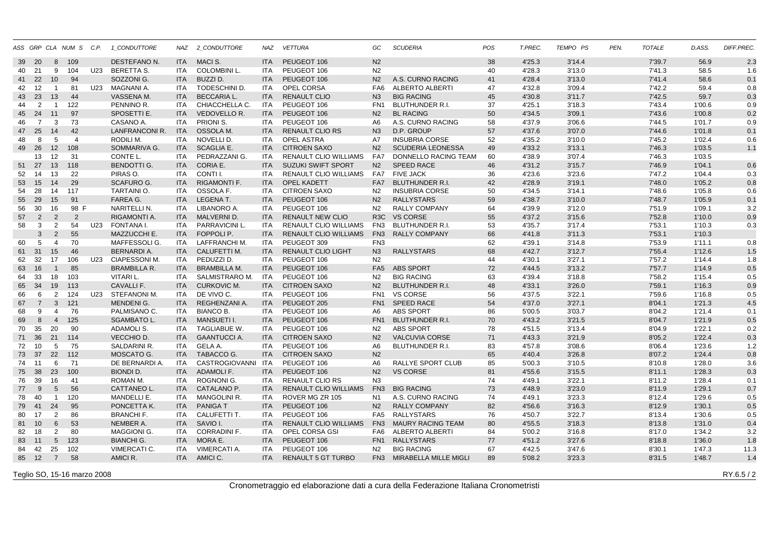|    |                |                 | ASS GRP CLA NUM S C.P. |     | 1 CONDUTTORE          |            | NAZ 2_CONDUTTORE    | NAZ        | <b>VETTURA</b>               | GC               | <b>SCUDERIA</b>           | POS | T.PREC. | TEMPO PS | PEN. | <b>TOTALE</b> | D.ASS. | DIFF.PREC. |
|----|----------------|-----------------|------------------------|-----|-----------------------|------------|---------------------|------------|------------------------------|------------------|---------------------------|-----|---------|----------|------|---------------|--------|------------|
| 39 | - 20           | 8               | 109                    |     | DESTEFANO N.          | <b>ITA</b> | MACI S.             | <b>ITA</b> | PEUGEOT 106                  | N <sub>2</sub>   |                           | 38  | 4'25.3  | 3'14.4   |      | 7'39.7        | 56.9   | 2.3        |
| 40 | 21             | 9               | 104                    |     | U23 BERETTA S.        | ITA        | <b>COLOMBINI L.</b> | <b>ITA</b> | PEUGEOT 106                  | N <sub>2</sub>   |                           | 40  | 4'28.3  | 3'13.0   |      | 7'41.3        | 58.5   | 1.6        |
| 41 | 22             | 10              | 94                     |     | SOZZONI G.            | <b>ITA</b> | BUZZI D.            | <b>ITA</b> | PEUGEOT 106                  | N <sub>2</sub>   | A.S. CURNO RACING         | 41  | 4'28.4  | 3'13.0   |      | 7'41.4        | 58.6   | 0.1        |
| 42 | 12             | $\overline{1}$  | 81                     | U23 | MAGNANI A.            | ITA        | TODESCHINI D.       | <b>ITA</b> | OPEL CORSA                   |                  | FA6 ALBERTO ALBERTI       | 47  | 4'32.8  | 3'09.4   |      | 7'42.2        | 59.4   | 0.8        |
| 43 | 23             | 13              | 44                     |     | <b>VASSENA M.</b>     | <b>ITA</b> | <b>BECCARIA L.</b>  | <b>ITA</b> | <b>RENAULT CLIO</b>          | N <sub>3</sub>   | <b>BIG RACING</b>         | 45  | 4'30.8  | 3'11.7   |      | 7'42.5        | 59.7   | 0.3        |
| 44 | 2              | $\overline{1}$  | 122                    |     | PENNINO R.            | ITA        | CHIACCHELLA C.      | <b>ITA</b> | PEUGEOT 106                  | FN1              | <b>BLUTHUNDER R.I.</b>    | 37  | 4'25.1  | 3'18.3   |      | 7'43.4        | 1'00.6 | 0.9        |
| 45 | 24             | 11              | 97                     |     | SPOSETTI E.           | <b>ITA</b> | <b>VEDOVELLO R.</b> | <b>ITA</b> | PEUGEOT 106                  | N <sub>2</sub>   | <b>BL RACING</b>          | 50  | 4'34.5  | 3'09.1   |      | 7'43.6        | 1'00.8 | 0.2        |
| 46 | $\overline{7}$ | 3               | 73                     |     | CASANO A.             | <b>ITA</b> | PRIONI S.           | <b>ITA</b> | PEUGEOT 106                  | A6               | A.S. CURNO RACING         | 58  | 4'37.9  | 3'06.6   |      | 7'44.5        | 1'01.7 | 0.9        |
| 47 | 25             | 14              | 42                     |     | <b>LANFRANCONI R.</b> | <b>ITA</b> | OSSOLA M.           | <b>ITA</b> | <b>RENAULT CLIO RS</b>       | N <sub>3</sub>   | D.P. GROUP                | 57  | 4'37.6  | 3'07.0   |      | 7'44.6        | 1'01.8 | 0.1        |
| 48 | 8              | 5               | $\overline{4}$         |     | RODILI M.             | <b>ITA</b> | NOVELLI D.          | ITA.       | OPEL ASTRA                   | A7               | <b>INSUBRIA CORSE</b>     | 52  | 4'35.2  | 3'10.0   |      | 7'45.2        | 1'02.4 | 0.6        |
| 49 | 26             | 12              | 108                    |     | <b>SOMMARIVA G.</b>   | <b>ITA</b> | <b>SCAGLIA E.</b>   | <b>ITA</b> | <b>CITROEN SAXO</b>          | N <sub>2</sub>   | <b>SCUDERIA LEONESSA</b>  | 49  | 4'33.2  | 3'13.1   |      | 7'46.3        | 1'03.5 | 1.1        |
|    | 13             | 12              | 31                     |     | CONTE L.              | <b>ITA</b> | PEDRAZZANI G.       | <b>ITA</b> | <b>RENAULT CLIO WILLIAMS</b> | FA7              | DONNELLO RACING TEAM      | 60  | 4'38.9  | 3'07.4   |      | 7'46.3        | 1'03.5 |            |
| 51 | 27             | 13              | 118                    |     | <b>BENDOTTI G.</b>    | <b>ITA</b> | CORIA E.            | <b>ITA</b> | <b>SUZUKI SWIFT SPORT</b>    | N <sub>2</sub>   | <b>SPEED RACE</b>         | 46  | 4'31.2  | 3'15.7   |      | 7'46.9        | 1'04.1 | 0.6        |
| 52 | 14             | 13              | 22                     |     | PIRAS O.              | <b>ITA</b> | CONTI I.            | <b>ITA</b> | <b>RENAULT CLIO WILLIAMS</b> |                  | FA7 FIVE JACK             | 36  | 4'23.6  | 3'23.6   |      | 7'47.2        | 1'04.4 | 0.3        |
| 53 | 15             | 14              | 29                     |     | <b>SCAFURO G.</b>     | <b>ITA</b> | <b>RIGAMONTI F.</b> | <b>ITA</b> | OPEL KADETT                  | FA7              | <b>BLUTHUNDER R.I.</b>    | 42  | 4'28.9  | 3'19.1   |      | 7'48.0        | 1'05.2 | 0.8        |
| 54 | 28             | 14              | 117                    |     | TARTAINI O.           | <b>ITA</b> | OSSOLA F.           | <b>ITA</b> | <b>CITROEN SAXO</b>          | N2               | <b>INSUBRIA CORSE</b>     | 50  | 4'34.5  | 3'14.1   |      | 7'48.6        | 1'05.8 | 0.6        |
| 55 | 29             | 15              | 91                     |     | FAREA G.              | <b>ITA</b> | LEGENA T.           | <b>ITA</b> | PEUGEOT 106                  | N <sub>2</sub>   | <b>RALLYSTARS</b>         | 59  | 4'38.7  | 3'10.0   |      | 7'48.7        | 1'05.9 | 0.1        |
| 56 | 30             | 16              | 98 F                   |     | NARITELLI N.          | ITA        | LIBANORO A.         | <b>ITA</b> | PEUGEOT 106                  | N2               | <b>RALLY COMPANY</b>      | 64  | 4'39.9  | 3'12.0   |      | 7'51.9        | 1'09.1 | 3.2        |
| 57 | 2              | $\overline{2}$  | $\overline{2}$         |     | RIGAMONTI A.          | <b>ITA</b> | MALVERNI D.         | <b>ITA</b> | <b>RENAULT NEW CLIO</b>      | R <sub>3</sub> C | <b>VS CORSE</b>           | 55  | 4'37.2  | 3'15.6   |      | 7'52.8        | 1'10.0 | 0.9        |
| 58 | 3              | 2               | 54                     | U23 | FONTANA I.            | ITA        | PARRAVICINI L.      | <b>ITA</b> | RENAULT CLIO WILLIAMS        | FN3              | <b>BLUTHUNDER R.I.</b>    | 53  | 4'35.7  | 3'17.4   |      | 7'53.1        | 1'10.3 | 0.3        |
|    | 3              | $\overline{2}$  | 55                     |     | MAZZUCCHI E.          | <b>ITA</b> | FOPPOLI P.          | <b>ITA</b> | <b>RENAULT CLIO WILLIAMS</b> | FN <sub>3</sub>  | <b>RALLY COMPANY</b>      | 66  | 4'41.8  | 3'11.3   |      | 7'53.1        | 1'10.3 |            |
| 60 | 5              | $\overline{4}$  | 70                     |     | MAFFESSOLI G.         | ITA        | LAFFRANCHI M.       | <b>ITA</b> | PEUGEOT 309                  | FN <sub>3</sub>  |                           | 62  | 4'39.1  | 3'14.8   |      | 7'53.9        | 1'11.1 | 0.8        |
| 61 | 31             | 15              | 46                     |     | <b>BERNARDI A.</b>    | <b>ITA</b> | CALUFETTI M.        | <b>ITA</b> | <b>RENAULT CLIO LIGHT</b>    | N3               | <b>RALLYSTARS</b>         | 68  | 4'42.7  | 3'12.7   |      | 7'55.4        | 1'12.6 | 1.5        |
| 62 | 32             | 17              | 106                    | U23 | CIAPESSONI M.         | ITA        | PEDUZZI D.          | <b>ITA</b> | PEUGEOT 106                  | N <sub>2</sub>   |                           | 44  | 4'30.1  | 3'27.1   |      | 7'57.2        | 1'14.4 | 1.8        |
| 63 | 16             | $\overline{1}$  | 85                     |     | <b>BRAMBILLA R.</b>   | <b>ITA</b> | <b>BRAMBILLA M</b>  | <b>ITA</b> | PEUGEOT 106                  |                  | FA5 ABS SPORT             | 72  | 4'44.5  | 3'13.2   |      | 7'57.7        | 1'14.9 | 0.5        |
| 64 | 33             | 18              | 103                    |     | VITARI L.             | ITA        | SALMISTRARO M.      | ITA        | PEUGEOT 106                  | N2               | <b>BIG RACING</b>         | 63  | 4'39.4  | 3'18.8   |      | 7'58.2        | 1'15.4 | 0.5        |
| 65 | 34             | 19              | 113                    |     | CAVALLI F.            | <b>ITA</b> | <b>CURKOVIC M.</b>  | <b>ITA</b> | <b>CITROEN SAXO</b>          | N2               | <b>BLUTHUNDER R.I.</b>    | 48  | 4'33.1  | 3'26.0   |      | 7'59.1        | 1'16.3 | 0.9        |
| 66 | 6              | $\overline{2}$  | 124                    | U23 | STEFANONI M.          | ITA        | DE VIVO C.          | ITA.       | PEUGEOT 106                  | FN <sub>1</sub>  | <b>VS CORSE</b>           | 56  | 4'37.5  | 3'22.1   |      | 7'59.6        | 1'16.8 | 0.5        |
| 67 | $\overline{7}$ | 3               | 121                    |     | <b>MENDENIG.</b>      | <b>ITA</b> | REGHENZANI A.       | <b>ITA</b> | PEUGEOT 205                  | FN1              | <b>SPEED RACE</b>         | 54  | 4'37.0  | 3'27.1   |      | 8'04.1        | 1'21.3 | 4.5        |
| 68 | 9              | $\overline{4}$  | 76                     |     | PALMISANO C.          | ITA        | <b>BIANCO B.</b>    | <b>ITA</b> | PEUGEOT 106                  | A6               | <b>ABS SPORT</b>          | 86  | 5'00.5  | 3'03.7   |      | 8'04.2        | 1'21.4 | 0.1        |
| 69 | 8              | $\overline{4}$  | 125                    |     | <b>SGAMBATO L.</b>    | <b>ITA</b> | <b>MANSUETI I.</b>  | <b>ITA</b> | PEUGEOT 106                  | FN <sub>1</sub>  | <b>BLUTHUNDER R.I.</b>    | 70  | 4'43.2  | 3'21.5   |      | 8'04.7        | 1'21.9 | 0.5        |
| 70 | 35             | 20              | 90                     |     | ADAMOLI S.            | ITA        | TAGLIABUE W.        | <b>ITA</b> | PEUGEOT 106                  | N2               | <b>ABS SPORT</b>          | 78  | 4'51.5  | 3'13.4   |      | 8'04.9        | 1'22.1 | 0.2        |
| 71 | 36             | 21              | 114                    |     | VECCHIO D.            | <b>ITA</b> | <b>GAANTUCCIA.</b>  | <b>ITA</b> | <b>CITROEN SAXO</b>          | N2               | <b>VALCUVIA CORSE</b>     | 71  | 4'43.3  | 3'21.9   |      | 8'05.2        | 1'22.4 | 0.3        |
| 72 | 10             | 5               | 75                     |     | SALDARINI R.          | ITA        | GELA A.             | <b>ITA</b> | PEUGEOT 106                  | A6               | <b>BLUTHUNDER R.I.</b>    | 83  | 4'57.8  | 3'08.6   |      | 8'06.4        | 1'23.6 | 1.2        |
|    | 73 37          | 22              | 112                    |     | MOSCATO G.            | <b>ITA</b> | TABACCO G.          | <b>ITA</b> | <b>CITROEN SAXO</b>          | N <sub>2</sub>   |                           | 65  | 4'40.4  | 3'26.8   |      | 8'07.2        | 1'24.4 | 0.8        |
| 74 | 11             | 6               | 71                     |     | DE BERNARDI A.        | ITA        | CASTROGIOVANNI ITA  |            | PEUGEOT 106                  | A6               | <b>RALLYE SPORT CLUB</b>  | 85  | 5'00.3  | 3'10.5   |      | 8'10.8        | 1'28.0 | 3.6        |
| 75 | 38             | 23              | 100                    |     | <b>BIONDI D.</b>      | <b>ITA</b> | ADAMOLI F.          | <b>ITA</b> | PEUGEOT 106                  | N2               | <b>VS CORSE</b>           | 81  | 4'55.6  | 3'15.5   |      | 8'11.1        | 1'28.3 | 0.3        |
| 76 | 39             | 16              | 41                     |     | ROMAN M.              | <b>ITA</b> | ROGNONI G.          | <b>ITA</b> | <b>RENAULT CLIO RS</b>       | N <sub>3</sub>   |                           | 74  | 4'49.1  | 3'22.1   |      | 8'11.2        | 1'28.4 | 0.1        |
| 77 | 9              | $5\overline{)}$ | 56                     |     | CATTANEO L.           | <b>ITA</b> | CATALANO P.         | <b>ITA</b> | <b>RENAULT CLIO WILLIAMS</b> | FN <sub>3</sub>  | <b>BIG RACING</b>         | 73  | 4'48.9  | 3'23.0   |      | 8'11.9        | 1'29.1 | 0.7        |
| 78 | 40             | $\overline{1}$  | 120                    |     | MANDELLI E.           | ITA        | <b>MANGOLINI R.</b> | <b>ITA</b> | ROVER MG ZR 105              | N1               | A.S. CURNO RACING         | 74  | 4'49.1  | 3'23.3   |      | 8'12.4        | 1'29.6 | 0.5        |
| 79 | 41             | 24              | 95                     |     | PONCETTA K.           | <b>ITA</b> | <b>PANIGAT</b>      | <b>ITA</b> | PEUGEOT 106                  | N2               | <b>RALLY COMPANY</b>      | 82  | 4'56.6  | 3'16.3   |      | 8'12.9        | 1'30.1 | 0.5        |
| 80 | 17             | 2               | 86                     |     | <b>BRANCHI F.</b>     | <b>ITA</b> | CALUFETTI T.        | <b>ITA</b> | PEUGEOT 106                  |                  | FA5 RALLYSTARS            | 76  | 4'50.7  | 3'22.7   |      | 8'13.4        | 1'30.6 | 0.5        |
| 81 | 10             | $6\phantom{.}6$ | 53                     |     | NEMBER A.             | <b>ITA</b> | SAVIO I.            | <b>ITA</b> | <b>RENAULT CLIO WILLIAMS</b> |                  | FN3 MAURY RACING TEAM     | 80  | 4'55.5  | 3'18.3   |      | 8'13.8        | 1'31.0 | 0.4        |
| 82 | 18             | $\overline{2}$  | 80                     |     | MAGGIONI G.           | <b>ITA</b> | <b>CORRADINI F.</b> | <b>ITA</b> | OPEL CORSA GSI               | FA6              | ALBERTO ALBERTI           | 84  | 5'00.2  | 3'16.8   |      | 8'17.0        | 1'34.2 | 3.2        |
| 83 | 11             | $5\overline{5}$ | 123                    |     | <b>BIANCHI G.</b>     | <b>ITA</b> | MORA E.             | <b>ITA</b> | PEUGEOT 106                  |                  | FN1 RALLYSTARS            | 77  | 4'51.2  | 3'27.6   |      | 8'18.8        | 1'36.0 | 1.8        |
| 84 | 42             | 25              | 102                    |     | VIMERCATI C.          | <b>ITA</b> | VIMERCATI A.        | <b>ITA</b> | PEUGEOT 106                  | N <sub>2</sub>   | <b>BIG RACING</b>         | 67  | 4'42.5  | 3'47.6   |      | 8'30.1        | 1'47.3 | 11.3       |
|    | 85 12          | $\overline{7}$  | 58                     |     | AMICI R.              | <b>ITA</b> | AMICI C.            | <b>ITA</b> | RENAULT 5 GT TURBO           |                  | FN3 MIRABELLA MILLE MIGLI | 89  | 5'08.2  | 3'23.3   |      | 8'31.5        | 1'48.7 | 1.4        |
|    |                |                 |                        |     |                       |            |                     |            |                              |                  |                           |     |         |          |      |               |        |            |

Teglio SO, 15-16 marzo 2008

Cronometraggio ed elaborazione dati a cura della Federazione Italiana Cronometristi

and the contract of the contract of the contract of the contract of the contract of the contract of the contract of the contract of the contract of the contract of the contract of the contract of the contract of the c